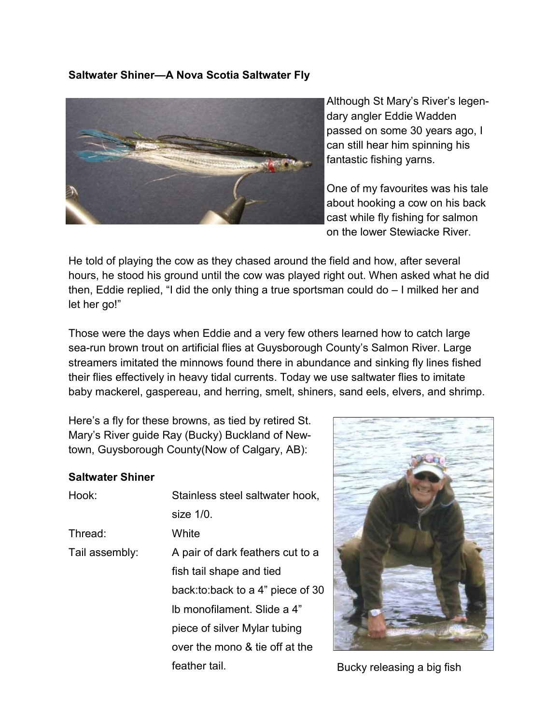## **Saltwater Shiner—A Nova Scotia Saltwater Fly**



Although St Mary's River's legendary angler Eddie Wadden passed on some 30 years ago, I can still hear him spinning his fantastic fishing yarns.

One of my favourites was his tale about hooking a cow on his back cast while fly fishing for salmon on the lower Stewiacke River.

He told of playing the cow as they chased around the field and how, after several hours, he stood his ground until the cow was played right out. When asked what he did then, Eddie replied, "I did the only thing a true sportsman could do – I milked her and let her go!"

Those were the days when Eddie and a very few others learned how to catch large sea-run brown trout on artificial flies at Guysborough County's Salmon River. Large streamers imitated the minnows found there in abundance and sinking fly lines fished their flies effectively in heavy tidal currents. Today we use saltwater flies to imitate baby mackerel, gaspereau, and herring, smelt, shiners, sand eels, elvers, and shrimp.

Here's a fly for these browns, as tied by retired St. Mary's River guide Ray (Bucky) Buckland of Newtown, Guysborough County(Now of Calgary, AB):

## **Saltwater Shiner**

| Hook:          | Stainless steel saltwater hook,    |
|----------------|------------------------------------|
|                | size $1/0$ .                       |
| Thread:        | White                              |
| Tail assembly: | A pair of dark feathers cut to a   |
|                | fish tail shape and tied           |
|                | back: to: back to a 4" piece of 30 |
|                | Ib monofilament. Slide a 4"        |
|                | piece of silver Mylar tubing       |
|                | over the mono & tie off at the     |
|                | feather tail.                      |



Bucky releasing a big fish.